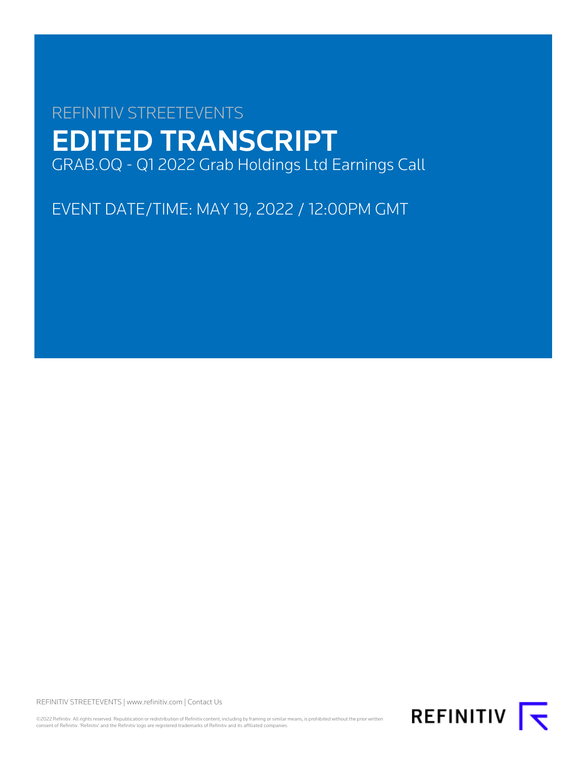# REFINITIV STREETEVENTS EDITED TRANSCRIPT GRAB.OQ - Q1 2022 Grab Holdings Ltd Earnings Call

EVENT DATE/TIME: MAY 19, 2022 / 12:00PM GMT

REFINITIV STREETEVENTS | [www.refinitiv.com](https://www.refinitiv.com/) | [Contact Us](https://www.refinitiv.com/en/contact-us)

©2022 Refinitiv. All rights reserved. Republication or redistribution of Refinitiv content, including by framing or similar means, is prohibited without the prior written<br>consent of Refinitiv. 'Refinitiv' and the Refinitiv

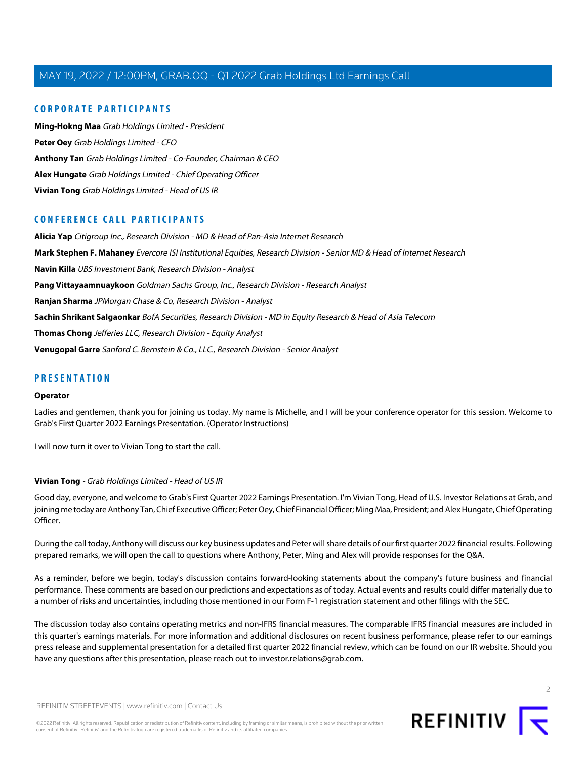# **CORPORATE PARTICIPANTS**

**[Ming-Hokng Maa](#page-8-0)** Grab Holdings Limited - President **[Peter Oey](#page-4-0)** Grab Holdings Limited - CFO **[Anthony Tan](#page-2-0)** Grab Holdings Limited - Co-Founder, Chairman & CEO **[Alex Hungate](#page-13-0)** Grab Holdings Limited - Chief Operating Officer **[Vivian Tong](#page-1-0)** Grab Holdings Limited - Head of US IR

# **CONFERENCE CALL PARTICIPANTS**

**[Alicia Yap](#page-6-0)** Citigroup Inc., Research Division - MD & Head of Pan-Asia Internet Research **[Mark Stephen F. Mahaney](#page-8-1)** Evercore ISI Institutional Equities, Research Division - Senior MD & Head of Internet Research **[Navin Killa](#page-7-0)** UBS Investment Bank, Research Division - Analyst **[Pang Vittayaamnuaykoon](#page-9-0)** Goldman Sachs Group, Inc., Research Division - Research Analyst **[Ranjan Sharma](#page-10-0)** JPMorgan Chase & Co, Research Division - Analyst **[Sachin Shrikant Salgaonkar](#page-13-1)** BofA Securities, Research Division - MD in Equity Research & Head of Asia Telecom **[Thomas Chong](#page-12-0)** Jefferies LLC, Research Division - Equity Analyst **[Venugopal Garre](#page-10-1)** Sanford C. Bernstein & Co., LLC., Research Division - Senior Analyst

# **PRESENTATION**

#### **Operator**

Ladies and gentlemen, thank you for joining us today. My name is Michelle, and I will be your conference operator for this session. Welcome to Grab's First Quarter 2022 Earnings Presentation. (Operator Instructions)

<span id="page-1-0"></span>I will now turn it over to Vivian Tong to start the call.

#### **Vivian Tong** - Grab Holdings Limited - Head of US IR

Good day, everyone, and welcome to Grab's First Quarter 2022 Earnings Presentation. I'm Vivian Tong, Head of U.S. Investor Relations at Grab, and joining me today are Anthony Tan, Chief Executive Officer; Peter Oey, Chief Financial Officer; Ming Maa, President; and Alex Hungate, Chief Operating Officer.

During the call today, Anthony will discuss our key business updates and Peter will share details of our first quarter 2022 financial results. Following prepared remarks, we will open the call to questions where Anthony, Peter, Ming and Alex will provide responses for the Q&A.

As a reminder, before we begin, today's discussion contains forward-looking statements about the company's future business and financial performance. These comments are based on our predictions and expectations as of today. Actual events and results could differ materially due to a number of risks and uncertainties, including those mentioned in our Form F-1 registration statement and other filings with the SEC.

The discussion today also contains operating metrics and non-IFRS financial measures. The comparable IFRS financial measures are included in this quarter's earnings materials. For more information and additional disclosures on recent business performance, please refer to our earnings press release and supplemental presentation for a detailed first quarter 2022 financial review, which can be found on our IR website. Should you have any questions after this presentation, please reach out to investor.relations@grab.com.

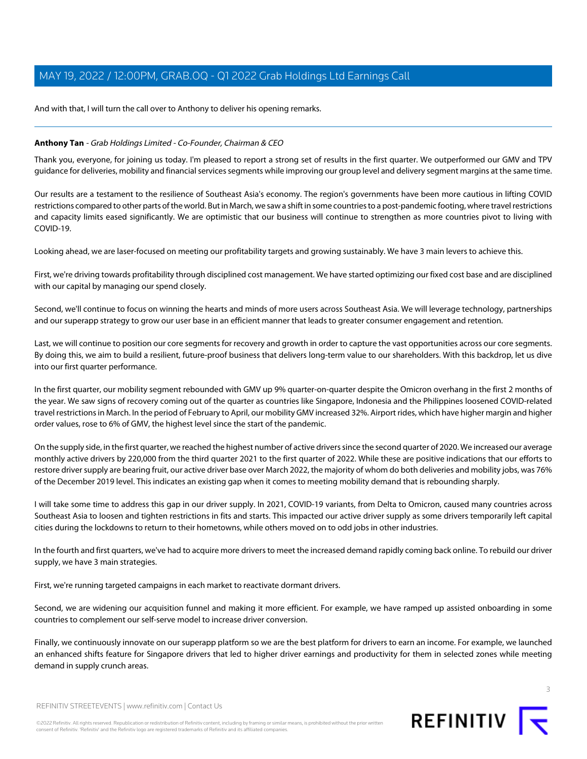And with that, I will turn the call over to Anthony to deliver his opening remarks.

# <span id="page-2-0"></span>**Anthony Tan** - Grab Holdings Limited - Co-Founder, Chairman & CEO

Thank you, everyone, for joining us today. I'm pleased to report a strong set of results in the first quarter. We outperformed our GMV and TPV guidance for deliveries, mobility and financial services segments while improving our group level and delivery segment margins at the same time.

Our results are a testament to the resilience of Southeast Asia's economy. The region's governments have been more cautious in lifting COVID restrictions compared to other parts of the world. But in March, we saw a shift in some countries to a post-pandemic footing, where travel restrictions and capacity limits eased significantly. We are optimistic that our business will continue to strengthen as more countries pivot to living with COVID-19.

Looking ahead, we are laser-focused on meeting our profitability targets and growing sustainably. We have 3 main levers to achieve this.

First, we're driving towards profitability through disciplined cost management. We have started optimizing our fixed cost base and are disciplined with our capital by managing our spend closely.

Second, we'll continue to focus on winning the hearts and minds of more users across Southeast Asia. We will leverage technology, partnerships and our superapp strategy to grow our user base in an efficient manner that leads to greater consumer engagement and retention.

Last, we will continue to position our core segments for recovery and growth in order to capture the vast opportunities across our core segments. By doing this, we aim to build a resilient, future-proof business that delivers long-term value to our shareholders. With this backdrop, let us dive into our first quarter performance.

In the first quarter, our mobility segment rebounded with GMV up 9% quarter-on-quarter despite the Omicron overhang in the first 2 months of the year. We saw signs of recovery coming out of the quarter as countries like Singapore, Indonesia and the Philippines loosened COVID-related travel restrictions in March. In the period of February to April, our mobility GMV increased 32%. Airport rides, which have higher margin and higher order values, rose to 6% of GMV, the highest level since the start of the pandemic.

On the supply side, in the first quarter, we reached the highest number of active drivers since the second quarter of 2020. We increased our average monthly active drivers by 220,000 from the third quarter 2021 to the first quarter of 2022. While these are positive indications that our efforts to restore driver supply are bearing fruit, our active driver base over March 2022, the majority of whom do both deliveries and mobility jobs, was 76% of the December 2019 level. This indicates an existing gap when it comes to meeting mobility demand that is rebounding sharply.

I will take some time to address this gap in our driver supply. In 2021, COVID-19 variants, from Delta to Omicron, caused many countries across Southeast Asia to loosen and tighten restrictions in fits and starts. This impacted our active driver supply as some drivers temporarily left capital cities during the lockdowns to return to their hometowns, while others moved on to odd jobs in other industries.

In the fourth and first quarters, we've had to acquire more drivers to meet the increased demand rapidly coming back online. To rebuild our driver supply, we have 3 main strategies.

First, we're running targeted campaigns in each market to reactivate dormant drivers.

Second, we are widening our acquisition funnel and making it more efficient. For example, we have ramped up assisted onboarding in some countries to complement our self-serve model to increase driver conversion.

Finally, we continuously innovate on our superapp platform so we are the best platform for drivers to earn an income. For example, we launched an enhanced shifts feature for Singapore drivers that led to higher driver earnings and productivity for them in selected zones while meeting demand in supply crunch areas.



REFINITIV STREETEVENTS | [www.refinitiv.com](https://www.refinitiv.com/) | [Contact Us](https://www.refinitiv.com/en/contact-us)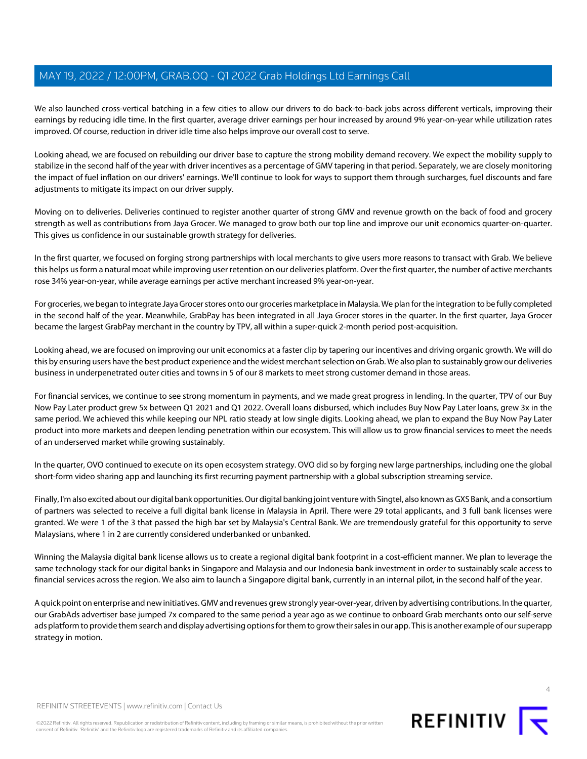We also launched cross-vertical batching in a few cities to allow our drivers to do back-to-back jobs across different verticals, improving their earnings by reducing idle time. In the first quarter, average driver earnings per hour increased by around 9% year-on-year while utilization rates improved. Of course, reduction in driver idle time also helps improve our overall cost to serve.

Looking ahead, we are focused on rebuilding our driver base to capture the strong mobility demand recovery. We expect the mobility supply to stabilize in the second half of the year with driver incentives as a percentage of GMV tapering in that period. Separately, we are closely monitoring the impact of fuel inflation on our drivers' earnings. We'll continue to look for ways to support them through surcharges, fuel discounts and fare adjustments to mitigate its impact on our driver supply.

Moving on to deliveries. Deliveries continued to register another quarter of strong GMV and revenue growth on the back of food and grocery strength as well as contributions from Jaya Grocer. We managed to grow both our top line and improve our unit economics quarter-on-quarter. This gives us confidence in our sustainable growth strategy for deliveries.

In the first quarter, we focused on forging strong partnerships with local merchants to give users more reasons to transact with Grab. We believe this helps us form a natural moat while improving user retention on our deliveries platform. Over the first quarter, the number of active merchants rose 34% year-on-year, while average earnings per active merchant increased 9% year-on-year.

For groceries, we began to integrate Jaya Grocer stores onto our groceries marketplace in Malaysia. We plan for the integration to be fully completed in the second half of the year. Meanwhile, GrabPay has been integrated in all Jaya Grocer stores in the quarter. In the first quarter, Jaya Grocer became the largest GrabPay merchant in the country by TPV, all within a super-quick 2-month period post-acquisition.

Looking ahead, we are focused on improving our unit economics at a faster clip by tapering our incentives and driving organic growth. We will do this by ensuring users have the best product experience and the widest merchant selection on Grab. We also plan to sustainably grow our deliveries business in underpenetrated outer cities and towns in 5 of our 8 markets to meet strong customer demand in those areas.

For financial services, we continue to see strong momentum in payments, and we made great progress in lending. In the quarter, TPV of our Buy Now Pay Later product grew 5x between Q1 2021 and Q1 2022. Overall loans disbursed, which includes Buy Now Pay Later loans, grew 3x in the same period. We achieved this while keeping our NPL ratio steady at low single digits. Looking ahead, we plan to expand the Buy Now Pay Later product into more markets and deepen lending penetration within our ecosystem. This will allow us to grow financial services to meet the needs of an underserved market while growing sustainably.

In the quarter, OVO continued to execute on its open ecosystem strategy. OVO did so by forging new large partnerships, including one the global short-form video sharing app and launching its first recurring payment partnership with a global subscription streaming service.

Finally, I'm also excited about our digital bank opportunities. Our digital banking joint venture with Singtel, also known as GXS Bank, and a consortium of partners was selected to receive a full digital bank license in Malaysia in April. There were 29 total applicants, and 3 full bank licenses were granted. We were 1 of the 3 that passed the high bar set by Malaysia's Central Bank. We are tremendously grateful for this opportunity to serve Malaysians, where 1 in 2 are currently considered underbanked or unbanked.

Winning the Malaysia digital bank license allows us to create a regional digital bank footprint in a cost-efficient manner. We plan to leverage the same technology stack for our digital banks in Singapore and Malaysia and our Indonesia bank investment in order to sustainably scale access to financial services across the region. We also aim to launch a Singapore digital bank, currently in an internal pilot, in the second half of the year.

A quick point on enterprise and new initiatives. GMV and revenues grew strongly year-over-year, driven by advertising contributions. In the quarter, our GrabAds advertiser base jumped 7x compared to the same period a year ago as we continue to onboard Grab merchants onto our self-serve ads platform to provide them search and display advertising options for them to grow their sales in our app. This is another example of our superapp strategy in motion.



©2022 Refinitiv. All rights reserved. Republication or redistribution of Refinitiv content, including by framing or similar means, is prohibited without the prior written consent of Refinitiv. 'Refinitiv' and the Refinitiv logo are registered trademarks of Refinitiv and its affiliated companies.

REFINITIV **K**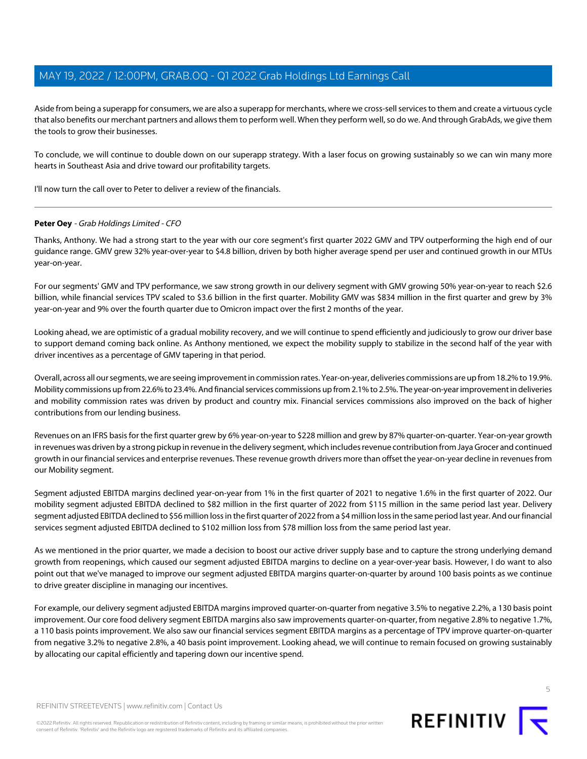Aside from being a superapp for consumers, we are also a superapp for merchants, where we cross-sell services to them and create a virtuous cycle that also benefits our merchant partners and allows them to perform well. When they perform well, so do we. And through GrabAds, we give them the tools to grow their businesses.

To conclude, we will continue to double down on our superapp strategy. With a laser focus on growing sustainably so we can win many more hearts in Southeast Asia and drive toward our profitability targets.

<span id="page-4-0"></span>I'll now turn the call over to Peter to deliver a review of the financials.

### **Peter Oey** - Grab Holdings Limited - CFO

Thanks, Anthony. We had a strong start to the year with our core segment's first quarter 2022 GMV and TPV outperforming the high end of our guidance range. GMV grew 32% year-over-year to \$4.8 billion, driven by both higher average spend per user and continued growth in our MTUs year-on-year.

For our segments' GMV and TPV performance, we saw strong growth in our delivery segment with GMV growing 50% year-on-year to reach \$2.6 billion, while financial services TPV scaled to \$3.6 billion in the first quarter. Mobility GMV was \$834 million in the first quarter and grew by 3% year-on-year and 9% over the fourth quarter due to Omicron impact over the first 2 months of the year.

Looking ahead, we are optimistic of a gradual mobility recovery, and we will continue to spend efficiently and judiciously to grow our driver base to support demand coming back online. As Anthony mentioned, we expect the mobility supply to stabilize in the second half of the year with driver incentives as a percentage of GMV tapering in that period.

Overall, across all our segments, we are seeing improvement in commission rates. Year-on-year, deliveries commissions are up from 18.2% to 19.9%. Mobility commissions up from 22.6% to 23.4%. And financial services commissions up from 2.1% to 2.5%. The year-on-year improvement in deliveries and mobility commission rates was driven by product and country mix. Financial services commissions also improved on the back of higher contributions from our lending business.

Revenues on an IFRS basis for the first quarter grew by 6% year-on-year to \$228 million and grew by 87% quarter-on-quarter. Year-on-year growth in revenues was driven by a strong pickup in revenue in the delivery segment, which includes revenue contribution from Jaya Grocer and continued growth in our financial services and enterprise revenues. These revenue growth drivers more than offset the year-on-year decline in revenues from our Mobility segment.

Segment adjusted EBITDA margins declined year-on-year from 1% in the first quarter of 2021 to negative 1.6% in the first quarter of 2022. Our mobility segment adjusted EBITDA declined to \$82 million in the first quarter of 2022 from \$115 million in the same period last year. Delivery segment adjusted EBITDA declined to \$56 million loss in the first quarter of 2022 from a \$4 million loss in the same period last year. And our financial services segment adjusted EBITDA declined to \$102 million loss from \$78 million loss from the same period last year.

As we mentioned in the prior quarter, we made a decision to boost our active driver supply base and to capture the strong underlying demand growth from reopenings, which caused our segment adjusted EBITDA margins to decline on a year-over-year basis. However, I do want to also point out that we've managed to improve our segment adjusted EBITDA margins quarter-on-quarter by around 100 basis points as we continue to drive greater discipline in managing our incentives.

For example, our delivery segment adjusted EBITDA margins improved quarter-on-quarter from negative 3.5% to negative 2.2%, a 130 basis point improvement. Our core food delivery segment EBITDA margins also saw improvements quarter-on-quarter, from negative 2.8% to negative 1.7%, a 110 basis points improvement. We also saw our financial services segment EBITDA margins as a percentage of TPV improve quarter-on-quarter from negative 3.2% to negative 2.8%, a 40 basis point improvement. Looking ahead, we will continue to remain focused on growing sustainably by allocating our capital efficiently and tapering down our incentive spend.



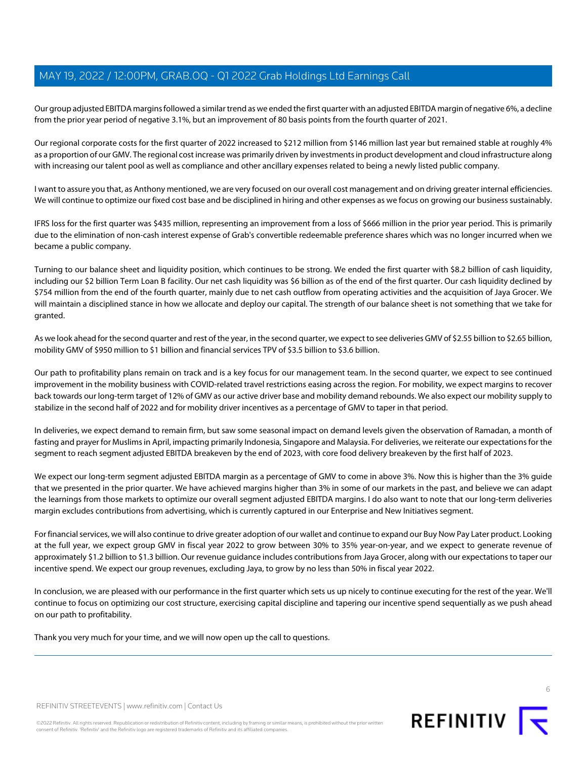Our group adjusted EBITDA margins followed a similar trend as we ended the first quarter with an adjusted EBITDA margin of negative 6%, a decline from the prior year period of negative 3.1%, but an improvement of 80 basis points from the fourth quarter of 2021.

Our regional corporate costs for the first quarter of 2022 increased to \$212 million from \$146 million last year but remained stable at roughly 4% as a proportion of our GMV. The regional cost increase was primarily driven by investments in product development and cloud infrastructure along with increasing our talent pool as well as compliance and other ancillary expenses related to being a newly listed public company.

I want to assure you that, as Anthony mentioned, we are very focused on our overall cost management and on driving greater internal efficiencies. We will continue to optimize our fixed cost base and be disciplined in hiring and other expenses as we focus on growing our business sustainably.

IFRS loss for the first quarter was \$435 million, representing an improvement from a loss of \$666 million in the prior year period. This is primarily due to the elimination of non-cash interest expense of Grab's convertible redeemable preference shares which was no longer incurred when we became a public company.

Turning to our balance sheet and liquidity position, which continues to be strong. We ended the first quarter with \$8.2 billion of cash liquidity, including our \$2 billion Term Loan B facility. Our net cash liquidity was \$6 billion as of the end of the first quarter. Our cash liquidity declined by \$754 million from the end of the fourth quarter, mainly due to net cash outflow from operating activities and the acquisition of Jaya Grocer. We will maintain a disciplined stance in how we allocate and deploy our capital. The strength of our balance sheet is not something that we take for granted.

As we look ahead for the second quarter and rest of the year, in the second quarter, we expect to see deliveries GMV of \$2.55 billion to \$2.65 billion, mobility GMV of \$950 million to \$1 billion and financial services TPV of \$3.5 billion to \$3.6 billion.

Our path to profitability plans remain on track and is a key focus for our management team. In the second quarter, we expect to see continued improvement in the mobility business with COVID-related travel restrictions easing across the region. For mobility, we expect margins to recover back towards our long-term target of 12% of GMV as our active driver base and mobility demand rebounds. We also expect our mobility supply to stabilize in the second half of 2022 and for mobility driver incentives as a percentage of GMV to taper in that period.

In deliveries, we expect demand to remain firm, but saw some seasonal impact on demand levels given the observation of Ramadan, a month of fasting and prayer for Muslims in April, impacting primarily Indonesia, Singapore and Malaysia. For deliveries, we reiterate our expectations for the segment to reach segment adjusted EBITDA breakeven by the end of 2023, with core food delivery breakeven by the first half of 2023.

We expect our long-term segment adjusted EBITDA margin as a percentage of GMV to come in above 3%. Now this is higher than the 3% guide that we presented in the prior quarter. We have achieved margins higher than 3% in some of our markets in the past, and believe we can adapt the learnings from those markets to optimize our overall segment adjusted EBITDA margins. I do also want to note that our long-term deliveries margin excludes contributions from advertising, which is currently captured in our Enterprise and New Initiatives segment.

For financial services, we will also continue to drive greater adoption of our wallet and continue to expand our Buy Now Pay Later product. Looking at the full year, we expect group GMV in fiscal year 2022 to grow between 30% to 35% year-on-year, and we expect to generate revenue of approximately \$1.2 billion to \$1.3 billion. Our revenue guidance includes contributions from Jaya Grocer, along with our expectations to taper our incentive spend. We expect our group revenues, excluding Jaya, to grow by no less than 50% in fiscal year 2022.

In conclusion, we are pleased with our performance in the first quarter which sets us up nicely to continue executing for the rest of the year. We'll continue to focus on optimizing our cost structure, exercising capital discipline and tapering our incentive spend sequentially as we push ahead on our path to profitability.

Thank you very much for your time, and we will now open up the call to questions.

REFINITIV STREETEVENTS | [www.refinitiv.com](https://www.refinitiv.com/) | [Contact Us](https://www.refinitiv.com/en/contact-us)

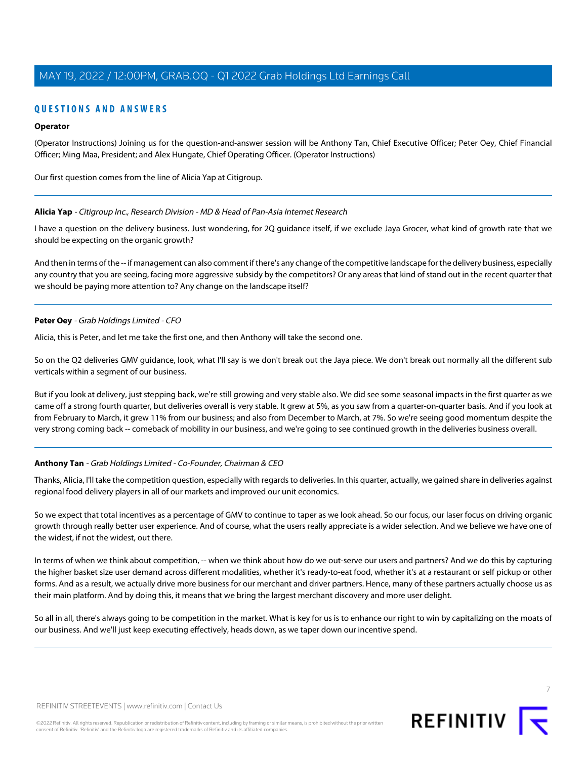# **QUESTIONS AND ANSWERS**

# **Operator**

(Operator Instructions) Joining us for the question-and-answer session will be Anthony Tan, Chief Executive Officer; Peter Oey, Chief Financial Officer; Ming Maa, President; and Alex Hungate, Chief Operating Officer. (Operator Instructions)

<span id="page-6-0"></span>Our first question comes from the line of Alicia Yap at Citigroup.

### **Alicia Yap** - Citigroup Inc., Research Division - MD & Head of Pan-Asia Internet Research

I have a question on the delivery business. Just wondering, for 2Q guidance itself, if we exclude Jaya Grocer, what kind of growth rate that we should be expecting on the organic growth?

And then in terms of the -- if management can also comment if there's any change of the competitive landscape for the delivery business, especially any country that you are seeing, facing more aggressive subsidy by the competitors? Or any areas that kind of stand out in the recent quarter that we should be paying more attention to? Any change on the landscape itself?

### **Peter Oey** - Grab Holdings Limited - CFO

Alicia, this is Peter, and let me take the first one, and then Anthony will take the second one.

So on the Q2 deliveries GMV guidance, look, what I'll say is we don't break out the Jaya piece. We don't break out normally all the different sub verticals within a segment of our business.

But if you look at delivery, just stepping back, we're still growing and very stable also. We did see some seasonal impacts in the first quarter as we came off a strong fourth quarter, but deliveries overall is very stable. It grew at 5%, as you saw from a quarter-on-quarter basis. And if you look at from February to March, it grew 11% from our business; and also from December to March, at 7%. So we're seeing good momentum despite the very strong coming back -- comeback of mobility in our business, and we're going to see continued growth in the deliveries business overall.

# **Anthony Tan** - Grab Holdings Limited - Co-Founder, Chairman & CEO

Thanks, Alicia, I'll take the competition question, especially with regards to deliveries. In this quarter, actually, we gained share in deliveries against regional food delivery players in all of our markets and improved our unit economics.

So we expect that total incentives as a percentage of GMV to continue to taper as we look ahead. So our focus, our laser focus on driving organic growth through really better user experience. And of course, what the users really appreciate is a wider selection. And we believe we have one of the widest, if not the widest, out there.

In terms of when we think about competition, -- when we think about how do we out-serve our users and partners? And we do this by capturing the higher basket size user demand across different modalities, whether it's ready-to-eat food, whether it's at a restaurant or self pickup or other forms. And as a result, we actually drive more business for our merchant and driver partners. Hence, many of these partners actually choose us as their main platform. And by doing this, it means that we bring the largest merchant discovery and more user delight.

So all in all, there's always going to be competition in the market. What is key for us is to enhance our right to win by capitalizing on the moats of our business. And we'll just keep executing effectively, heads down, as we taper down our incentive spend.

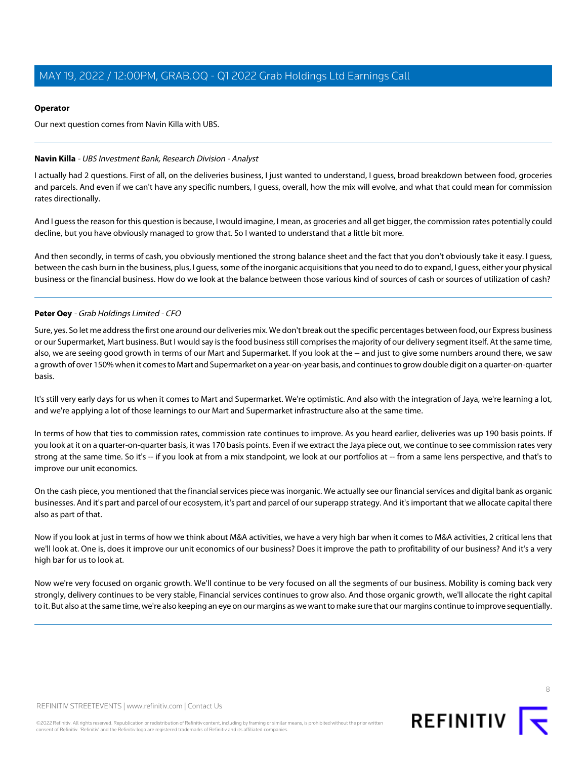# **Operator**

Our next question comes from Navin Killa with UBS.

# <span id="page-7-0"></span>**Navin Killa** - UBS Investment Bank, Research Division - Analyst

I actually had 2 questions. First of all, on the deliveries business, I just wanted to understand, I guess, broad breakdown between food, groceries and parcels. And even if we can't have any specific numbers, I guess, overall, how the mix will evolve, and what that could mean for commission rates directionally.

And I guess the reason for this question is because, I would imagine, I mean, as groceries and all get bigger, the commission rates potentially could decline, but you have obviously managed to grow that. So I wanted to understand that a little bit more.

And then secondly, in terms of cash, you obviously mentioned the strong balance sheet and the fact that you don't obviously take it easy. I guess, between the cash burn in the business, plus, I guess, some of the inorganic acquisitions that you need to do to expand, I guess, either your physical business or the financial business. How do we look at the balance between those various kind of sources of cash or sources of utilization of cash?

# **Peter Oey** - Grab Holdings Limited - CFO

Sure, yes. So let me address the first one around our deliveries mix. We don't break out the specific percentages between food, our Express business or our Supermarket, Mart business. But I would say is the food business still comprises the majority of our delivery segment itself. At the same time, also, we are seeing good growth in terms of our Mart and Supermarket. If you look at the -- and just to give some numbers around there, we saw a growth of over 150% when it comes to Mart and Supermarket on a year-on-year basis, and continues to grow double digit on a quarter-on-quarter basis.

It's still very early days for us when it comes to Mart and Supermarket. We're optimistic. And also with the integration of Jaya, we're learning a lot, and we're applying a lot of those learnings to our Mart and Supermarket infrastructure also at the same time.

In terms of how that ties to commission rates, commission rate continues to improve. As you heard earlier, deliveries was up 190 basis points. If you look at it on a quarter-on-quarter basis, it was 170 basis points. Even if we extract the Jaya piece out, we continue to see commission rates very strong at the same time. So it's -- if you look at from a mix standpoint, we look at our portfolios at -- from a same lens perspective, and that's to improve our unit economics.

On the cash piece, you mentioned that the financial services piece was inorganic. We actually see our financial services and digital bank as organic businesses. And it's part and parcel of our ecosystem, it's part and parcel of our superapp strategy. And it's important that we allocate capital there also as part of that.

Now if you look at just in terms of how we think about M&A activities, we have a very high bar when it comes to M&A activities, 2 critical lens that we'll look at. One is, does it improve our unit economics of our business? Does it improve the path to profitability of our business? And it's a very high bar for us to look at.

Now we're very focused on organic growth. We'll continue to be very focused on all the segments of our business. Mobility is coming back very strongly, delivery continues to be very stable, Financial services continues to grow also. And those organic growth, we'll allocate the right capital to it. But also at the same time, we're also keeping an eye on our margins as we want to make sure that our margins continue to improve sequentially.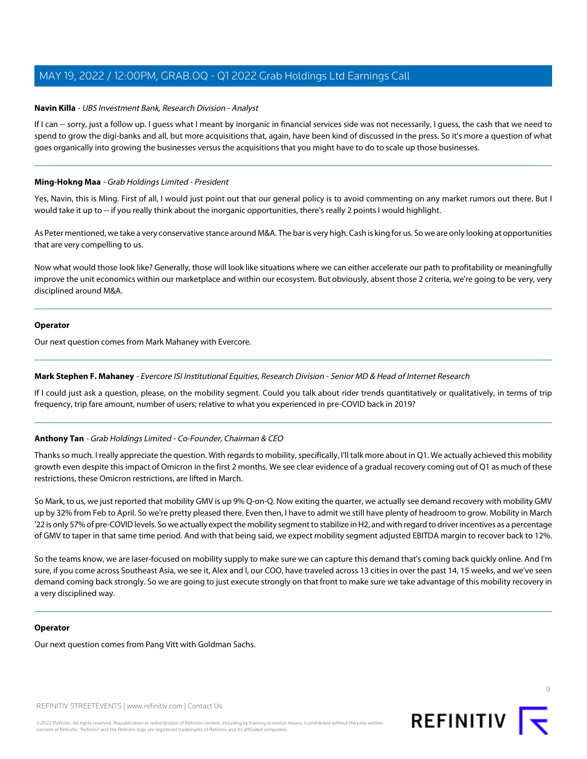### **Navin Killa** - UBS Investment Bank, Research Division - Analyst

If I can -- sorry, just a follow up. I quess what I meant by inorganic in financial services side was not necessarily, I quess, the cash that we need to spend to grow the digi-banks and all, but more acquisitions that, again, have been kind of discussed in the press. So it's more a question of what goes organically into growing the businesses versus the acquisitions that you might have to do to scale up those businesses.

### <span id="page-8-0"></span>**Ming-Hokng Maa** - Grab Holdings Limited - President

Yes, Navin, this is Ming. First of all, I would just point out that our general policy is to avoid commenting on any market rumors out there. But I would take it up to -- if you really think about the inorganic opportunities, there's really 2 points I would highlight.

As Peter mentioned, we take a very conservative stance around M&A. The bar is very high. Cash is king for us. So we are only looking at opportunities that are very compelling to us.

Now what would those look like? Generally, those will look like situations where we can either accelerate our path to profitability or meaningfully improve the unit economics within our marketplace and within our ecosystem. But obviously, absent those 2 criteria, we're going to be very, very disciplined around M&A.

#### **Operator**

<span id="page-8-1"></span>Our next question comes from Mark Mahaney with Evercore.

### **Mark Stephen F. Mahaney** - Evercore ISI Institutional Equities, Research Division - Senior MD & Head of Internet Research

If I could just ask a question, please, on the mobility segment. Could you talk about rider trends quantitatively or qualitatively, in terms of trip frequency, trip fare amount, number of users; relative to what you experienced in pre-COVID back in 2019?

#### **Anthony Tan** - Grab Holdings Limited - Co-Founder, Chairman & CEO

Thanks so much. I really appreciate the question. With regards to mobility, specifically, I'll talk more about in Q1. We actually achieved this mobility growth even despite this impact of Omicron in the first 2 months. We see clear evidence of a gradual recovery coming out of Q1 as much of these restrictions, these Omicron restrictions, are lifted in March.

So Mark, to us, we just reported that mobility GMV is up 9% Q-on-Q. Now exiting the quarter, we actually see demand recovery with mobility GMV up by 32% from Feb to April. So we're pretty pleased there. Even then, I have to admit we still have plenty of headroom to grow. Mobility in March '22 is only 57% of pre-COVID levels. So we actually expect the mobility segment to stabilize in H2, and with regard to driver incentives as a percentage of GMV to taper in that same time period. And with that being said, we expect mobility segment adjusted EBITDA margin to recover back to 12%.

So the teams know, we are laser-focused on mobility supply to make sure we can capture this demand that's coming back quickly online. And I'm sure, if you come across Southeast Asia, we see it, Alex and I, our COO, have traveled across 13 cities in over the past 14, 15 weeks, and we've seen demand coming back strongly. So we are going to just execute strongly on that front to make sure we take advantage of this mobility recovery in a very disciplined way.

#### **Operator**

Our next question comes from Pang Vitt with Goldman Sachs.

REFINITIV STREETEVENTS | [www.refinitiv.com](https://www.refinitiv.com/) | [Contact Us](https://www.refinitiv.com/en/contact-us)

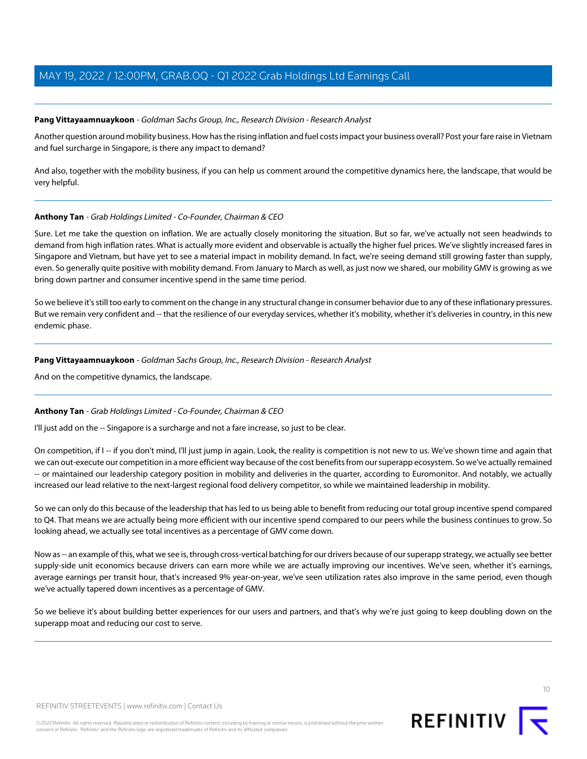# <span id="page-9-0"></span>**Pang Vittayaamnuaykoon** - Goldman Sachs Group, Inc., Research Division - Research Analyst

Another question around mobility business. How has the rising inflation and fuel costs impact your business overall? Post your fare raise in Vietnam and fuel surcharge in Singapore, is there any impact to demand?

And also, together with the mobility business, if you can help us comment around the competitive dynamics here, the landscape, that would be very helpful.

# **Anthony Tan** - Grab Holdings Limited - Co-Founder, Chairman & CEO

Sure. Let me take the question on inflation. We are actually closely monitoring the situation. But so far, we've actually not seen headwinds to demand from high inflation rates. What is actually more evident and observable is actually the higher fuel prices. We've slightly increased fares in Singapore and Vietnam, but have yet to see a material impact in mobility demand. In fact, we're seeing demand still growing faster than supply, even. So generally quite positive with mobility demand. From January to March as well, as just now we shared, our mobility GMV is growing as we bring down partner and consumer incentive spend in the same time period.

So we believe it's still too early to comment on the change in any structural change in consumer behavior due to any of these inflationary pressures. But we remain very confident and -- that the resilience of our everyday services, whether it's mobility, whether it's deliveries in country, in this new endemic phase.

# **Pang Vittayaamnuaykoon** - Goldman Sachs Group, Inc., Research Division - Research Analyst

And on the competitive dynamics, the landscape.

# **Anthony Tan** - Grab Holdings Limited - Co-Founder, Chairman & CEO

I'll just add on the -- Singapore is a surcharge and not a fare increase, so just to be clear.

On competition, if I -- if you don't mind, I'll just jump in again. Look, the reality is competition is not new to us. We've shown time and again that we can out-execute our competition in a more efficient way because of the cost benefits from our superapp ecosystem. So we've actually remained -- or maintained our leadership category position in mobility and deliveries in the quarter, according to Euromonitor. And notably, we actually increased our lead relative to the next-largest regional food delivery competitor, so while we maintained leadership in mobility.

So we can only do this because of the leadership that has led to us being able to benefit from reducing our total group incentive spend compared to Q4. That means we are actually being more efficient with our incentive spend compared to our peers while the business continues to grow. So looking ahead, we actually see total incentives as a percentage of GMV come down.

Now as -- an example of this, what we see is, through cross-vertical batching for our drivers because of our superapp strategy, we actually see better supply-side unit economics because drivers can earn more while we are actually improving our incentives. We've seen, whether it's earnings, average earnings per transit hour, that's increased 9% year-on-year, we've seen utilization rates also improve in the same period, even though we've actually tapered down incentives as a percentage of GMV.

So we believe it's about building better experiences for our users and partners, and that's why we're just going to keep doubling down on the superapp moat and reducing our cost to serve.

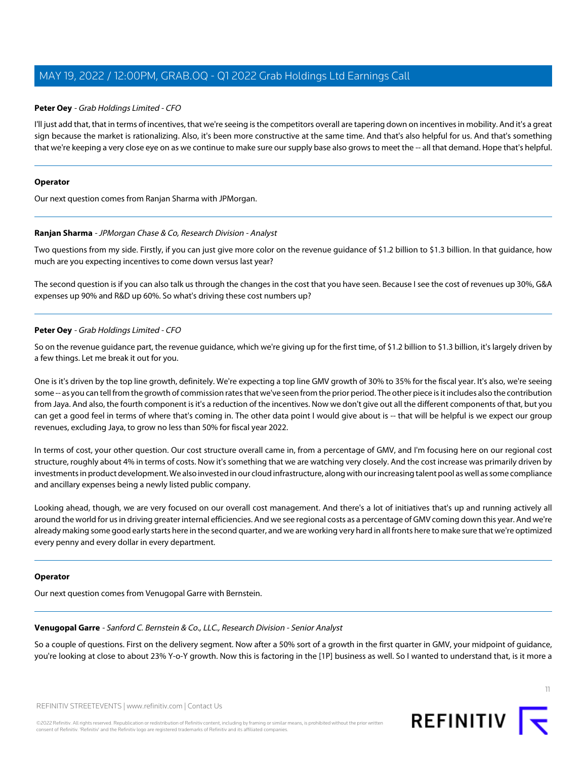### **Peter Oey** - Grab Holdings Limited - CFO

I'll just add that, that in terms of incentives, that we're seeing is the competitors overall are tapering down on incentives in mobility. And it's a great sign because the market is rationalizing. Also, it's been more constructive at the same time. And that's also helpful for us. And that's something that we're keeping a very close eye on as we continue to make sure our supply base also grows to meet the -- all that demand. Hope that's helpful.

#### **Operator**

<span id="page-10-0"></span>Our next question comes from Ranjan Sharma with JPMorgan.

### **Ranjan Sharma** - JPMorgan Chase & Co, Research Division - Analyst

Two questions from my side. Firstly, if you can just give more color on the revenue guidance of \$1.2 billion to \$1.3 billion. In that guidance, how much are you expecting incentives to come down versus last year?

The second question is if you can also talk us through the changes in the cost that you have seen. Because I see the cost of revenues up 30%, G&A expenses up 90% and R&D up 60%. So what's driving these cost numbers up?

# **Peter Oey** - Grab Holdings Limited - CFO

So on the revenue guidance part, the revenue guidance, which we're giving up for the first time, of \$1.2 billion to \$1.3 billion, it's largely driven by a few things. Let me break it out for you.

One is it's driven by the top line growth, definitely. We're expecting a top line GMV growth of 30% to 35% for the fiscal year. It's also, we're seeing some -- as you can tell from the growth of commission rates that we've seen from the prior period. The other piece is it includes also the contribution from Jaya. And also, the fourth component is it's a reduction of the incentives. Now we don't give out all the different components of that, but you can get a good feel in terms of where that's coming in. The other data point I would give about is -- that will be helpful is we expect our group revenues, excluding Jaya, to grow no less than 50% for fiscal year 2022.

In terms of cost, your other question. Our cost structure overall came in, from a percentage of GMV, and I'm focusing here on our regional cost structure, roughly about 4% in terms of costs. Now it's something that we are watching very closely. And the cost increase was primarily driven by investments in product development. We also invested in our cloud infrastructure, along with our increasing talent pool as well as some compliance and ancillary expenses being a newly listed public company.

Looking ahead, though, we are very focused on our overall cost management. And there's a lot of initiatives that's up and running actively all around the world for us in driving greater internal efficiencies. And we see regional costs as a percentage of GMV coming down this year. And we're already making some good early starts here in the second quarter, and we are working very hard in all fronts here to make sure that we're optimized every penny and every dollar in every department.

#### <span id="page-10-1"></span>**Operator**

Our next question comes from Venugopal Garre with Bernstein.

#### **Venugopal Garre** - Sanford C. Bernstein & Co., LLC., Research Division - Senior Analyst

So a couple of questions. First on the delivery segment. Now after a 50% sort of a growth in the first quarter in GMV, your midpoint of guidance, you're looking at close to about 23% Y-o-Y growth. Now this is factoring in the [1P] business as well. So I wanted to understand that, is it more a

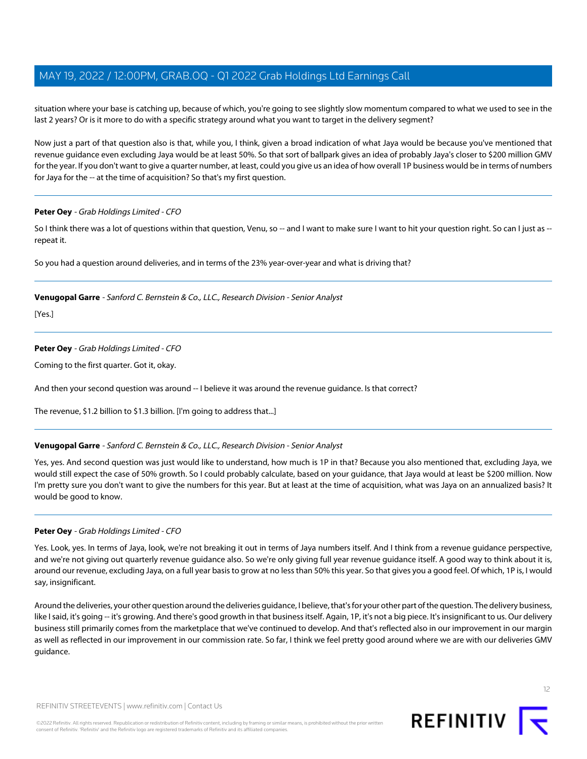situation where your base is catching up, because of which, you're going to see slightly slow momentum compared to what we used to see in the last 2 years? Or is it more to do with a specific strategy around what you want to target in the delivery segment?

Now just a part of that question also is that, while you, I think, given a broad indication of what Jaya would be because you've mentioned that revenue guidance even excluding Jaya would be at least 50%. So that sort of ballpark gives an idea of probably Jaya's closer to \$200 million GMV for the year. If you don't want to give a quarter number, at least, could you give us an idea of how overall 1P business would be in terms of numbers for Jaya for the -- at the time of acquisition? So that's my first question.

# **Peter Oey** - Grab Holdings Limited - CFO

So I think there was a lot of questions within that question, Venu, so -- and I want to make sure I want to hit your question right. So can I just as -repeat it.

So you had a question around deliveries, and in terms of the 23% year-over-year and what is driving that?

# **Venugopal Garre** - Sanford C. Bernstein & Co., LLC., Research Division - Senior Analyst

[Yes.]

# **Peter Oey** - Grab Holdings Limited - CFO

Coming to the first quarter. Got it, okay.

And then your second question was around -- I believe it was around the revenue guidance. Is that correct?

The revenue, \$1.2 billion to \$1.3 billion. [I'm going to address that...]

# **Venugopal Garre** - Sanford C. Bernstein & Co., LLC., Research Division - Senior Analyst

Yes, yes. And second question was just would like to understand, how much is 1P in that? Because you also mentioned that, excluding Jaya, we would still expect the case of 50% growth. So I could probably calculate, based on your guidance, that Jaya would at least be \$200 million. Now I'm pretty sure you don't want to give the numbers for this year. But at least at the time of acquisition, what was Jaya on an annualized basis? It would be good to know.

# **Peter Oey** - Grab Holdings Limited - CFO

Yes. Look, yes. In terms of Jaya, look, we're not breaking it out in terms of Jaya numbers itself. And I think from a revenue guidance perspective, and we're not giving out quarterly revenue guidance also. So we're only giving full year revenue guidance itself. A good way to think about it is, around our revenue, excluding Jaya, on a full year basis to grow at no less than 50% this year. So that gives you a good feel. Of which, 1P is, I would say, insignificant.

Around the deliveries, your other question around the deliveries guidance, I believe, that's for your other part of the question. The delivery business, like I said, it's going -- it's growing. And there's good growth in that business itself. Again, 1P, it's not a big piece. It's insignificant to us. Our delivery business still primarily comes from the marketplace that we've continued to develop. And that's reflected also in our improvement in our margin as well as reflected in our improvement in our commission rate. So far, I think we feel pretty good around where we are with our deliveries GMV guidance.

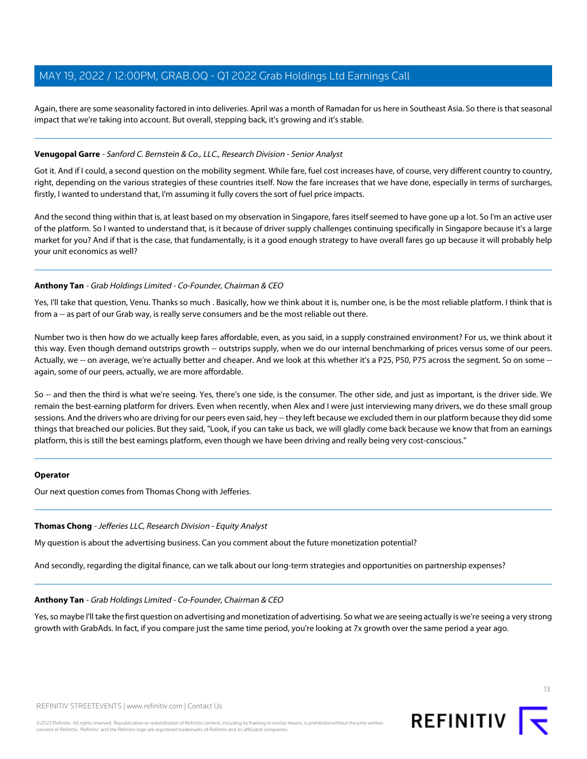Again, there are some seasonality factored in into deliveries. April was a month of Ramadan for us here in Southeast Asia. So there is that seasonal impact that we're taking into account. But overall, stepping back, it's growing and it's stable.

### **Venugopal Garre** - Sanford C. Bernstein & Co., LLC., Research Division - Senior Analyst

Got it. And if I could, a second question on the mobility segment. While fare, fuel cost increases have, of course, very different country to country, right, depending on the various strategies of these countries itself. Now the fare increases that we have done, especially in terms of surcharges, firstly, I wanted to understand that, I'm assuming it fully covers the sort of fuel price impacts.

And the second thing within that is, at least based on my observation in Singapore, fares itself seemed to have gone up a lot. So I'm an active user of the platform. So I wanted to understand that, is it because of driver supply challenges continuing specifically in Singapore because it's a large market for you? And if that is the case, that fundamentally, is it a good enough strategy to have overall fares go up because it will probably help your unit economics as well?

### **Anthony Tan** - Grab Holdings Limited - Co-Founder, Chairman & CEO

Yes, I'll take that question, Venu. Thanks so much . Basically, how we think about it is, number one, is be the most reliable platform. I think that is from a -- as part of our Grab way, is really serve consumers and be the most reliable out there.

Number two is then how do we actually keep fares affordable, even, as you said, in a supply constrained environment? For us, we think about it this way. Even though demand outstrips growth -- outstrips supply, when we do our internal benchmarking of prices versus some of our peers. Actually, we -- on average, we're actually better and cheaper. And we look at this whether it's a P25, P50, P75 across the segment. So on some -again, some of our peers, actually, we are more affordable.

So -- and then the third is what we're seeing. Yes, there's one side, is the consumer. The other side, and just as important, is the driver side. We remain the best-earning platform for drivers. Even when recently, when Alex and I were just interviewing many drivers, we do these small group sessions. And the drivers who are driving for our peers even said, hey -- they left because we excluded them in our platform because they did some things that breached our policies. But they said, "Look, if you can take us back, we will gladly come back because we know that from an earnings platform, this is still the best earnings platform, even though we have been driving and really being very cost-conscious."

#### <span id="page-12-0"></span>**Operator**

Our next question comes from Thomas Chong with Jefferies.

#### **Thomas Chong** - Jefferies LLC, Research Division - Equity Analyst

My question is about the advertising business. Can you comment about the future monetization potential?

And secondly, regarding the digital finance, can we talk about our long-term strategies and opportunities on partnership expenses?

#### **Anthony Tan** - Grab Holdings Limited - Co-Founder, Chairman & CEO

Yes, so maybe I'll take the first question on advertising and monetization of advertising. So what we are seeing actually is we're seeing a very strong growth with GrabAds. In fact, if you compare just the same time period, you're looking at 7x growth over the same period a year ago.

13

REFINITIV STREETEVENTS | [www.refinitiv.com](https://www.refinitiv.com/) | [Contact Us](https://www.refinitiv.com/en/contact-us)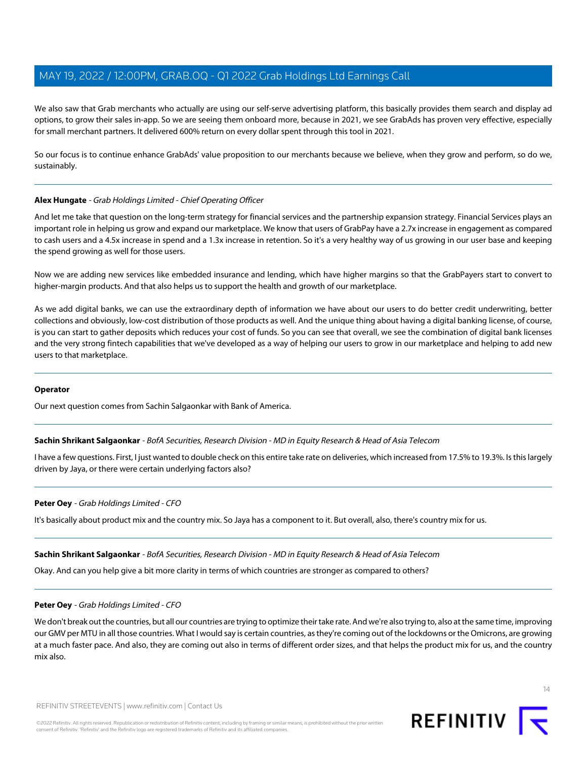We also saw that Grab merchants who actually are using our self-serve advertising platform, this basically provides them search and display ad options, to grow their sales in-app. So we are seeing them onboard more, because in 2021, we see GrabAds has proven very effective, especially for small merchant partners. It delivered 600% return on every dollar spent through this tool in 2021.

So our focus is to continue enhance GrabAds' value proposition to our merchants because we believe, when they grow and perform, so do we, sustainably.

# <span id="page-13-0"></span>**Alex Hungate** - Grab Holdings Limited - Chief Operating Officer

And let me take that question on the long-term strategy for financial services and the partnership expansion strategy. Financial Services plays an important role in helping us grow and expand our marketplace. We know that users of GrabPay have a 2.7x increase in engagement as compared to cash users and a 4.5x increase in spend and a 1.3x increase in retention. So it's a very healthy way of us growing in our user base and keeping the spend growing as well for those users.

Now we are adding new services like embedded insurance and lending, which have higher margins so that the GrabPayers start to convert to higher-margin products. And that also helps us to support the health and growth of our marketplace.

As we add digital banks, we can use the extraordinary depth of information we have about our users to do better credit underwriting, better collections and obviously, low-cost distribution of those products as well. And the unique thing about having a digital banking license, of course, is you can start to gather deposits which reduces your cost of funds. So you can see that overall, we see the combination of digital bank licenses and the very strong fintech capabilities that we've developed as a way of helping our users to grow in our marketplace and helping to add new users to that marketplace.

# <span id="page-13-1"></span>**Operator**

Our next question comes from Sachin Salgaonkar with Bank of America.

**Sachin Shrikant Salgaonkar** - BofA Securities, Research Division - MD in Equity Research & Head of Asia Telecom

I have a few questions. First, I just wanted to double check on this entire take rate on deliveries, which increased from 17.5% to 19.3%. Is this largely driven by Jaya, or there were certain underlying factors also?

# **Peter Oey** - Grab Holdings Limited - CFO

It's basically about product mix and the country mix. So Jaya has a component to it. But overall, also, there's country mix for us.

#### **Sachin Shrikant Salgaonkar** - BofA Securities, Research Division - MD in Equity Research & Head of Asia Telecom

Okay. And can you help give a bit more clarity in terms of which countries are stronger as compared to others?

#### **Peter Oey** - Grab Holdings Limited - CFO

We don't break out the countries, but all our countries are trying to optimize their take rate. And we're also trying to, also at the same time, improving our GMV per MTU in all those countries. What I would say is certain countries, as they're coming out of the lockdowns or the Omicrons, are growing at a much faster pace. And also, they are coming out also in terms of different order sizes, and that helps the product mix for us, and the country mix also.



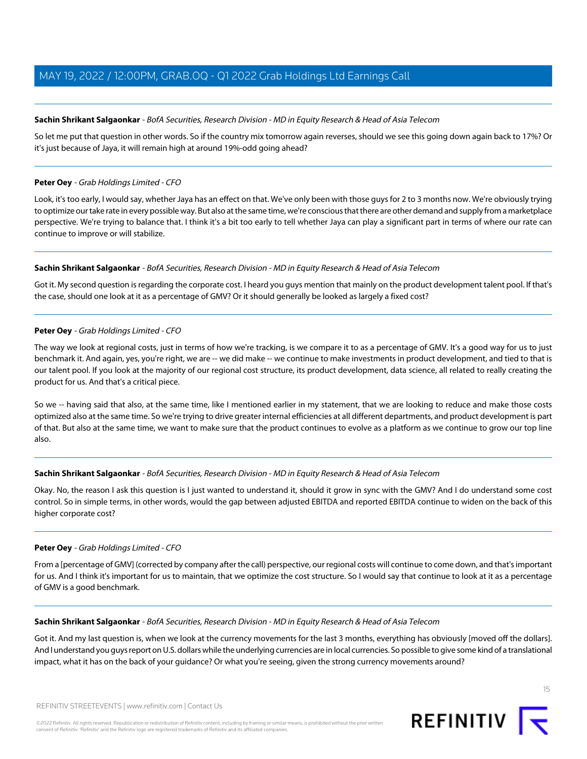### **Sachin Shrikant Salgaonkar** - BofA Securities, Research Division - MD in Equity Research & Head of Asia Telecom

So let me put that question in other words. So if the country mix tomorrow again reverses, should we see this going down again back to 17%? Or it's just because of Jaya, it will remain high at around 19%-odd going ahead?

#### **Peter Oey** - Grab Holdings Limited - CFO

Look, it's too early, I would say, whether Jaya has an effect on that. We've only been with those guys for 2 to 3 months now. We're obviously trying to optimize our take rate in every possible way. But also at the same time, we're conscious that there are other demand and supply from a marketplace perspective. We're trying to balance that. I think it's a bit too early to tell whether Jaya can play a significant part in terms of where our rate can continue to improve or will stabilize.

### **Sachin Shrikant Salgaonkar** - BofA Securities, Research Division - MD in Equity Research & Head of Asia Telecom

Got it. My second question is regarding the corporate cost. I heard you guys mention that mainly on the product development talent pool. If that's the case, should one look at it as a percentage of GMV? Or it should generally be looked as largely a fixed cost?

# **Peter Oey** - Grab Holdings Limited - CFO

The way we look at regional costs, just in terms of how we're tracking, is we compare it to as a percentage of GMV. It's a good way for us to just benchmark it. And again, yes, you're right, we are -- we did make -- we continue to make investments in product development, and tied to that is our talent pool. If you look at the majority of our regional cost structure, its product development, data science, all related to really creating the product for us. And that's a critical piece.

So we -- having said that also, at the same time, like I mentioned earlier in my statement, that we are looking to reduce and make those costs optimized also at the same time. So we're trying to drive greater internal efficiencies at all different departments, and product development is part of that. But also at the same time, we want to make sure that the product continues to evolve as a platform as we continue to grow our top line also.

#### **Sachin Shrikant Salgaonkar** - BofA Securities, Research Division - MD in Equity Research & Head of Asia Telecom

Okay. No, the reason I ask this question is I just wanted to understand it, should it grow in sync with the GMV? And I do understand some cost control. So in simple terms, in other words, would the gap between adjusted EBITDA and reported EBITDA continue to widen on the back of this higher corporate cost?

# **Peter Oey** - Grab Holdings Limited - CFO

From a [percentage of GMV] (corrected by company after the call) perspective, our regional costs will continue to come down, and that's important for us. And I think it's important for us to maintain, that we optimize the cost structure. So I would say that continue to look at it as a percentage of GMV is a good benchmark.

#### **Sachin Shrikant Salgaonkar** - BofA Securities, Research Division - MD in Equity Research & Head of Asia Telecom

Got it. And my last question is, when we look at the currency movements for the last 3 months, everything has obviously [moved off the dollars]. And I understand you guys report on U.S. dollars while the underlying currencies are in local currencies. So possible to give some kind of a translational impact, what it has on the back of your guidance? Or what you're seeing, given the strong currency movements around?